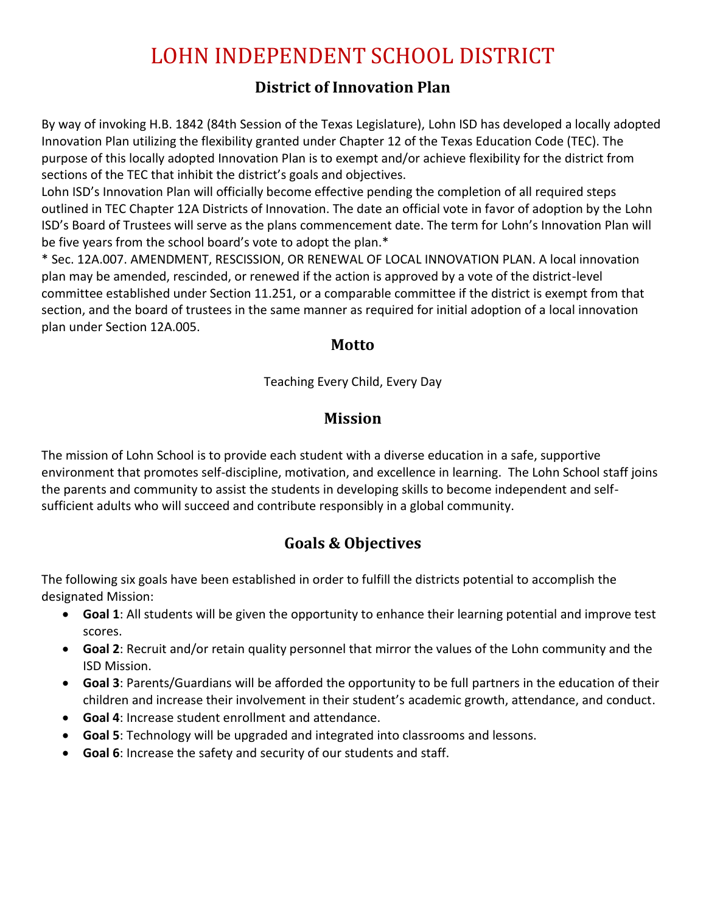## **District of Innovation Plan**

By way of invoking H.B. 1842 (84th Session of the Texas Legislature), Lohn ISD has developed a locally adopted Innovation Plan utilizing the flexibility granted under Chapter 12 of the Texas Education Code (TEC). The purpose of this locally adopted Innovation Plan is to exempt and/or achieve flexibility for the district from sections of the TEC that inhibit the district's goals and objectives.

Lohn ISD's Innovation Plan will officially become effective pending the completion of all required steps outlined in TEC Chapter 12A Districts of Innovation. The date an official vote in favor of adoption by the Lohn ISD's Board of Trustees will serve as the plans commencement date. The term for Lohn's Innovation Plan will be five years from the school board's vote to adopt the plan.\*

\* Sec. 12A.007. AMENDMENT, RESCISSION, OR RENEWAL OF LOCAL INNOVATION PLAN. A local innovation plan may be amended, rescinded, or renewed if the action is approved by a vote of the district-level committee established under Section 11.251, or a comparable committee if the district is exempt from that section, and the board of trustees in the same manner as required for initial adoption of a local innovation plan under Section 12A.005.

### **Motto**

Teaching Every Child, Every Day

## **Mission**

The mission of Lohn School is to provide each student with a diverse education in a safe, supportive environment that promotes self-discipline, motivation, and excellence in learning. The Lohn School staff joins the parents and community to assist the students in developing skills to become independent and selfsufficient adults who will succeed and contribute responsibly in a global community.

## **Goals & Objectives**

The following six goals have been established in order to fulfill the districts potential to accomplish the designated Mission:

- **Goal 1**: All students will be given the opportunity to enhance their learning potential and improve test scores.
- **Goal 2**: Recruit and/or retain quality personnel that mirror the values of the Lohn community and the ISD Mission.
- **Goal 3**: Parents/Guardians will be afforded the opportunity to be full partners in the education of their children and increase their involvement in their student's academic growth, attendance, and conduct.
- **Goal 4**: Increase student enrollment and attendance.
- **Goal 5**: Technology will be upgraded and integrated into classrooms and lessons.
- **Goal 6**: Increase the safety and security of our students and staff.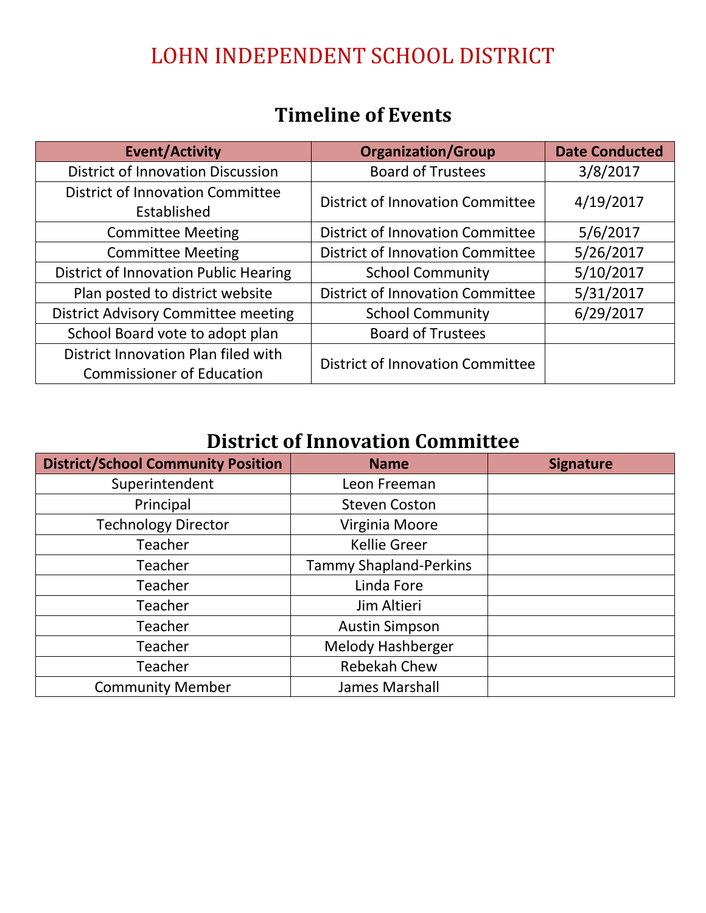# **Timeline of Events**

| <b>Event/Activity</b>                                                   | <b>Organization/Group</b>               | <b>Date Conducted</b> |
|-------------------------------------------------------------------------|-----------------------------------------|-----------------------|
| <b>District of Innovation Discussion</b>                                | <b>Board of Trustees</b>                | 3/8/2017              |
| <b>District of Innovation Committee</b><br>Established                  | <b>District of Innovation Committee</b> | 4/19/2017             |
| <b>Committee Meeting</b>                                                | <b>District of Innovation Committee</b> | 5/6/2017              |
| <b>Committee Meeting</b>                                                | <b>District of Innovation Committee</b> | 5/26/2017             |
| <b>District of Innovation Public Hearing</b>                            | <b>School Community</b>                 | 5/10/2017             |
| Plan posted to district website                                         | <b>District of Innovation Committee</b> | 5/31/2017             |
| <b>District Advisory Committee meeting</b>                              | <b>School Community</b>                 | 6/29/2017             |
| School Board vote to adopt plan                                         | <b>Board of Trustees</b>                |                       |
| District Innovation Plan filed with<br><b>Commissioner of Education</b> | <b>District of Innovation Committee</b> |                       |

# **District of Innovation Committee**

| <b>District/School Community Position</b> | <b>Name</b>                   | <b>Signature</b> |
|-------------------------------------------|-------------------------------|------------------|
| Superintendent                            | Leon Freeman                  |                  |
| Principal                                 | <b>Steven Coston</b>          |                  |
| <b>Technology Director</b>                | Virginia Moore                |                  |
| Teacher                                   | <b>Kellie Greer</b>           |                  |
| Teacher                                   | <b>Tammy Shapland-Perkins</b> |                  |
| <b>Teacher</b>                            | Linda Fore                    |                  |
| Teacher                                   | Jim Altieri                   |                  |
| <b>Teacher</b>                            | <b>Austin Simpson</b>         |                  |
| Teacher                                   | <b>Melody Hashberger</b>      |                  |
| Teacher                                   | Rebekah Chew                  |                  |
| <b>Community Member</b>                   | James Marshall                |                  |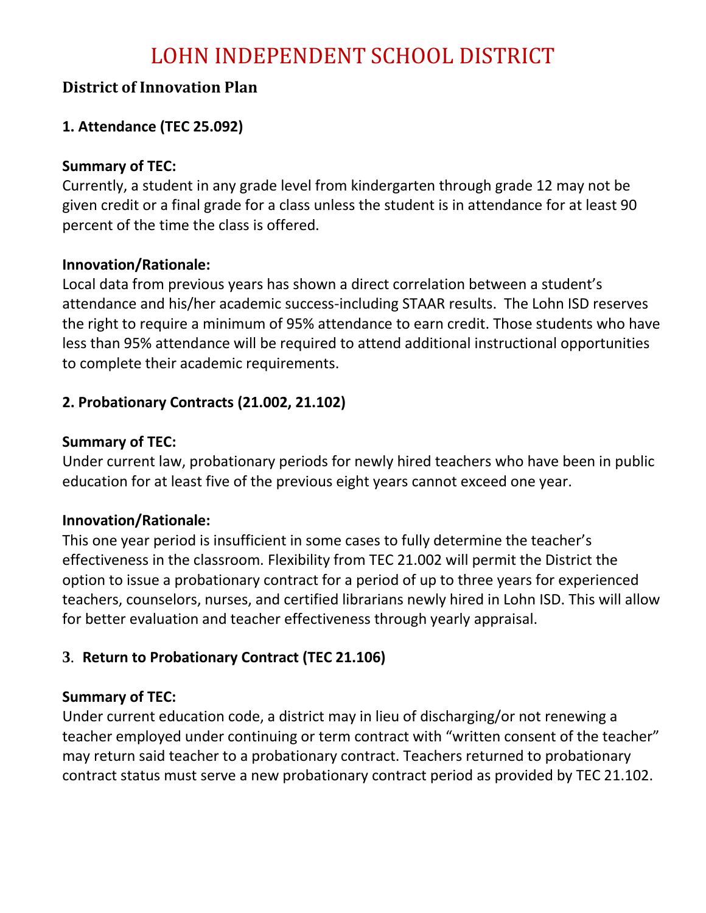### **District of Innovation Plan**

### **1. Attendance (TEC 25.092)**

### **Summary of TEC:**

Currently, a student in any grade level from kindergarten through grade 12 may not be given credit or a final grade for a class unless the student is in attendance for at least 90 percent of the time the class is offered.

### **Innovation/Rationale:**

Local data from previous years has shown a direct correlation between a student's attendance and his/her academic success-including STAAR results. The Lohn ISD reserves the right to require a minimum of 95% attendance to earn credit. Those students who have less than 95% attendance will be required to attend additional instructional opportunities to complete their academic requirements.

### **2. Probationary Contracts (21.002, 21.102)**

### **Summary of TEC:**

Under current law, probationary periods for newly hired teachers who have been in public education for at least five of the previous eight years cannot exceed one year.

#### **Innovation/Rationale:**

This one year period is insufficient in some cases to fully determine the teacher's effectiveness in the classroom. Flexibility from TEC 21.002 will permit the District the option to issue a probationary contract for a period of up to three years for experienced teachers, counselors, nurses, and certified librarians newly hired in Lohn ISD. This will allow for better evaluation and teacher effectiveness through yearly appraisal.

### **3**. **Return to Probationary Contract (TEC 21.106)**

### **Summary of TEC:**

Under current education code, a district may in lieu of discharging/or not renewing a teacher employed under continuing or term contract with "written consent of the teacher" may return said teacher to a probationary contract. Teachers returned to probationary contract status must serve a new probationary contract period as provided by TEC 21.102.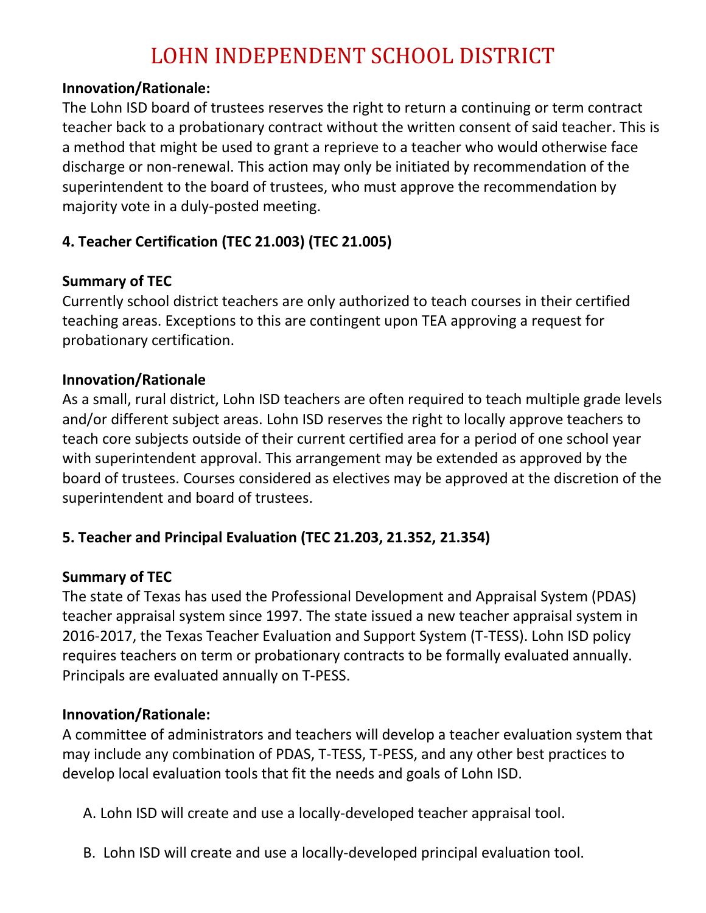#### **Innovation/Rationale:**

The Lohn ISD board of trustees reserves the right to return a continuing or term contract teacher back to a probationary contract without the written consent of said teacher. This is a method that might be used to grant a reprieve to a teacher who would otherwise face discharge or non-renewal. This action may only be initiated by recommendation of the superintendent to the board of trustees, who must approve the recommendation by majority vote in a duly-posted meeting.

## **4. Teacher Certification (TEC 21.003) (TEC 21.005)**

### **Summary of TEC**

Currently school district teachers are only authorized to teach courses in their certified teaching areas. Exceptions to this are contingent upon TEA approving a request for probationary certification.

#### **Innovation/Rationale**

As a small, rural district, Lohn ISD teachers are often required to teach multiple grade levels and/or different subject areas. Lohn ISD reserves the right to locally approve teachers to teach core subjects outside of their current certified area for a period of one school year with superintendent approval. This arrangement may be extended as approved by the board of trustees. Courses considered as electives may be approved at the discretion of the superintendent and board of trustees.

### **5. Teacher and Principal Evaluation (TEC 21.203, 21.352, 21.354)**

### **Summary of TEC**

The state of Texas has used the Professional Development and Appraisal System (PDAS) teacher appraisal system since 1997. The state issued a new teacher appraisal system in 2016-2017, the Texas Teacher Evaluation and Support System (T-TESS). Lohn ISD policy requires teachers on term or probationary contracts to be formally evaluated annually. Principals are evaluated annually on T-PESS.

#### **Innovation/Rationale:**

A committee of administrators and teachers will develop a teacher evaluation system that may include any combination of PDAS, T-TESS, T-PESS, and any other best practices to develop local evaluation tools that fit the needs and goals of Lohn ISD.

A. Lohn ISD will create and use a locally-developed teacher appraisal tool.

B. Lohn ISD will create and use a locally-developed principal evaluation tool.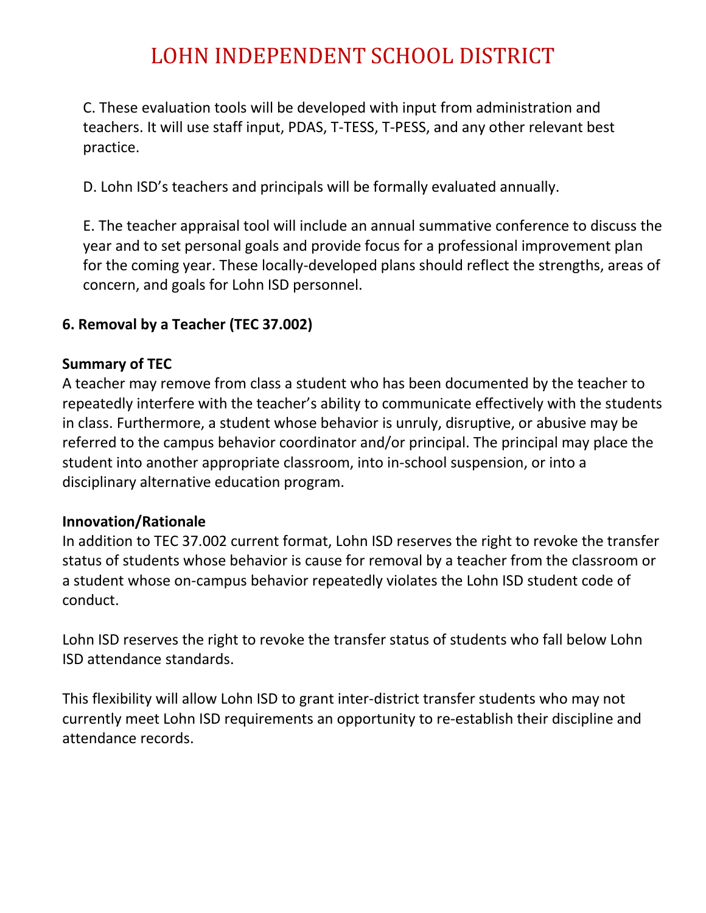C. These evaluation tools will be developed with input from administration and teachers. It will use staff input, PDAS, T-TESS, T-PESS, and any other relevant best practice.

D. Lohn ISD's teachers and principals will be formally evaluated annually.

E. The teacher appraisal tool will include an annual summative conference to discuss the year and to set personal goals and provide focus for a professional improvement plan for the coming year. These locally-developed plans should reflect the strengths, areas of concern, and goals for Lohn ISD personnel.

### **6. Removal by a Teacher (TEC 37.002)**

### **Summary of TEC**

A teacher may remove from class a student who has been documented by the teacher to repeatedly interfere with the teacher's ability to communicate effectively with the students in class. Furthermore, a student whose behavior is unruly, disruptive, or abusive may be referred to the campus behavior coordinator and/or principal. The principal may place the student into another appropriate classroom, into in-school suspension, or into a disciplinary alternative education program.

#### **Innovation/Rationale**

In addition to TEC 37.002 current format, Lohn ISD reserves the right to revoke the transfer status of students whose behavior is cause for removal by a teacher from the classroom or a student whose on-campus behavior repeatedly violates the Lohn ISD student code of conduct.

Lohn ISD reserves the right to revoke the transfer status of students who fall below Lohn ISD attendance standards.

This flexibility will allow Lohn ISD to grant inter-district transfer students who may not currently meet Lohn ISD requirements an opportunity to re-establish their discipline and attendance records.